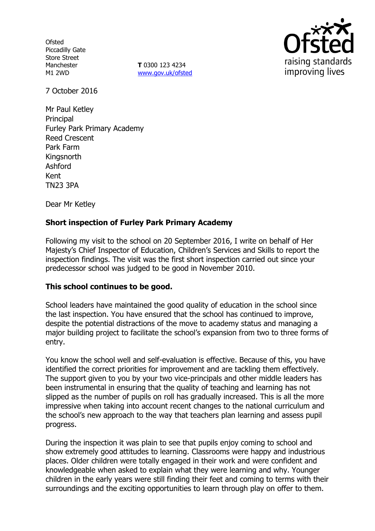**Ofsted** Piccadilly Gate Store Street Manchester M1 2WD

**T** 0300 123 4234 www.gov.uk/ofsted



7 October 2016

Mr Paul Ketley **Principal** Furley Park Primary Academy Reed Crescent Park Farm **Kingsnorth** Ashford Kent TN23 3PA

Dear Mr Ketley

# **Short inspection of Furley Park Primary Academy**

Following my visit to the school on 20 September 2016, I write on behalf of Her Majesty's Chief Inspector of Education, Children's Services and Skills to report the inspection findings. The visit was the first short inspection carried out since your predecessor school was judged to be good in November 2010.

### **This school continues to be good.**

School leaders have maintained the good quality of education in the school since the last inspection. You have ensured that the school has continued to improve, despite the potential distractions of the move to academy status and managing a major building project to facilitate the school's expansion from two to three forms of entry.

You know the school well and self-evaluation is effective. Because of this, you have identified the correct priorities for improvement and are tackling them effectively. The support given to you by your two vice-principals and other middle leaders has been instrumental in ensuring that the quality of teaching and learning has not slipped as the number of pupils on roll has gradually increased. This is all the more impressive when taking into account recent changes to the national curriculum and the school's new approach to the way that teachers plan learning and assess pupil progress.

During the inspection it was plain to see that pupils enjoy coming to school and show extremely good attitudes to learning. Classrooms were happy and industrious places. Older children were totally engaged in their work and were confident and knowledgeable when asked to explain what they were learning and why. Younger children in the early years were still finding their feet and coming to terms with their surroundings and the exciting opportunities to learn through play on offer to them.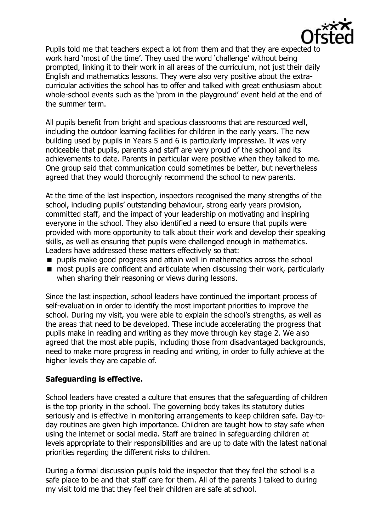

Pupils told me that teachers expect a lot from them and that they are expected to work hard 'most of the time'. They used the word 'challenge' without being prompted, linking it to their work in all areas of the curriculum, not just their daily English and mathematics lessons. They were also very positive about the extracurricular activities the school has to offer and talked with great enthusiasm about whole-school events such as the 'prom in the playground' event held at the end of the summer term.

All pupils benefit from bright and spacious classrooms that are resourced well, including the outdoor learning facilities for children in the early years. The new building used by pupils in Years 5 and 6 is particularly impressive. It was very noticeable that pupils, parents and staff are very proud of the school and its achievements to date. Parents in particular were positive when they talked to me. One group said that communication could sometimes be better, but nevertheless agreed that they would thoroughly recommend the school to new parents.

At the time of the last inspection, inspectors recognised the many strengths of the school, including pupils' outstanding behaviour, strong early years provision, committed staff, and the impact of your leadership on motivating and inspiring everyone in the school. They also identified a need to ensure that pupils were provided with more opportunity to talk about their work and develop their speaking skills, as well as ensuring that pupils were challenged enough in mathematics. Leaders have addressed these matters effectively so that:

- **P** pupils make good progress and attain well in mathematics across the school
- most pupils are confident and articulate when discussing their work, particularly when sharing their reasoning or views during lessons.

Since the last inspection, school leaders have continued the important process of self-evaluation in order to identify the most important priorities to improve the school. During my visit, you were able to explain the school's strengths, as well as the areas that need to be developed. These include accelerating the progress that pupils make in reading and writing as they move through key stage 2. We also agreed that the most able pupils, including those from disadvantaged backgrounds, need to make more progress in reading and writing, in order to fully achieve at the higher levels they are capable of.

### **Safeguarding is effective.**

School leaders have created a culture that ensures that the safeguarding of children is the top priority in the school. The governing body takes its statutory duties seriously and is effective in monitoring arrangements to keep children safe. Day-today routines are given high importance. Children are taught how to stay safe when using the internet or social media. Staff are trained in safeguarding children at levels appropriate to their responsibilities and are up to date with the latest national priorities regarding the different risks to children.

During a formal discussion pupils told the inspector that they feel the school is a safe place to be and that staff care for them. All of the parents I talked to during my visit told me that they feel their children are safe at school.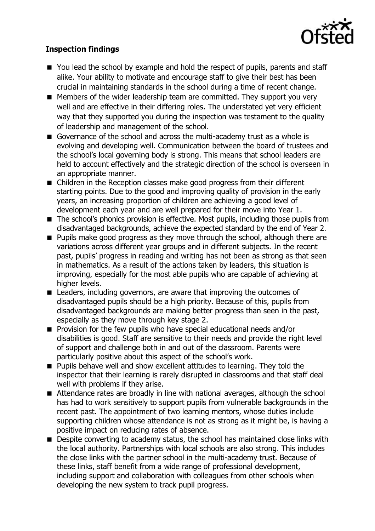

# **Inspection findings**

- You lead the school by example and hold the respect of pupils, parents and staff alike. Your ability to motivate and encourage staff to give their best has been crucial in maintaining standards in the school during a time of recent change.
- Members of the wider leadership team are committed. They support you very well and are effective in their differing roles. The understated yet very efficient way that they supported you during the inspection was testament to the quality of leadership and management of the school.
- Governance of the school and across the multi-academy trust as a whole is evolving and developing well. Communication between the board of trustees and the school's local governing body is strong. This means that school leaders are held to account effectively and the strategic direction of the school is overseen in an appropriate manner.
- Children in the Reception classes make good progress from their different starting points. Due to the good and improving quality of provision in the early years, an increasing proportion of children are achieving a good level of development each year and are well prepared for their move into Year 1.
- The school's phonics provision is effective. Most pupils, including those pupils from disadvantaged backgrounds, achieve the expected standard by the end of Year 2.
- **Pupils make good progress as they move through the school, although there are** variations across different year groups and in different subjects. In the recent past, pupils' progress in reading and writing has not been as strong as that seen in mathematics. As a result of the actions taken by leaders, this situation is improving, especially for the most able pupils who are capable of achieving at higher levels.
- Leaders, including governors, are aware that improving the outcomes of disadvantaged pupils should be a high priority. Because of this, pupils from disadvantaged backgrounds are making better progress than seen in the past, especially as they move through key stage 2.
- **Provision for the few pupils who have special educational needs and/or** disabilities is good. Staff are sensitive to their needs and provide the right level of support and challenge both in and out of the classroom. Parents were particularly positive about this aspect of the school's work.
- **Pupils behave well and show excellent attitudes to learning. They told the** inspector that their learning is rarely disrupted in classrooms and that staff deal well with problems if they arise.
- Attendance rates are broadly in line with national averages, although the school has had to work sensitively to support pupils from vulnerable backgrounds in the recent past. The appointment of two learning mentors, whose duties include supporting children whose attendance is not as strong as it might be, is having a positive impact on reducing rates of absence.
- **Despite converting to academy status, the school has maintained close links with** the local authority. Partnerships with local schools are also strong. This includes the close links with the partner school in the multi-academy trust. Because of these links, staff benefit from a wide range of professional development, including support and collaboration with colleagues from other schools when developing the new system to track pupil progress.